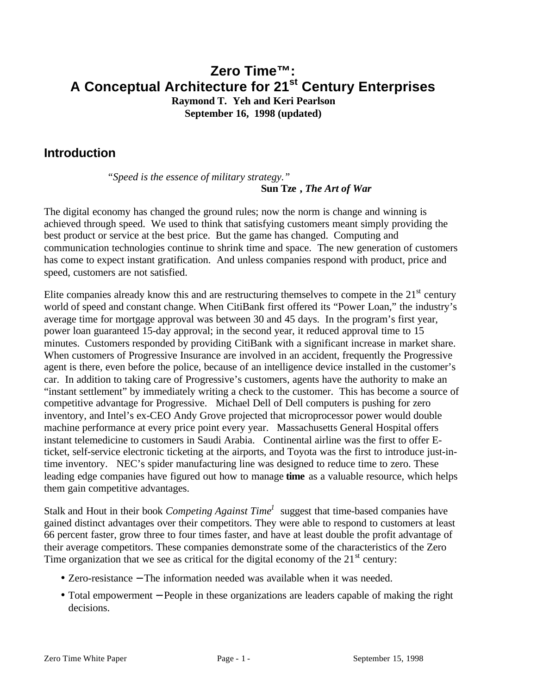# **Zero Time™: A Conceptual Architecture for 21st Century Enterprises**

**Raymond T. Yeh and Keri Pearlson September 16, 1998 (updated)**

# **Introduction**

*"Speed is the essence of military strategy."* **Sun Tze ,** *The Art of War*

The digital economy has changed the ground rules; now the norm is change and winning is achieved through speed. We used to think that satisfying customers meant simply providing the best product or service at the best price. But the game has changed. Computing and communication technologies continue to shrink time and space. The new generation of customers has come to expect instant gratification. And unless companies respond with product, price and speed, customers are not satisfied.

Elite companies already know this and are restructuring themselves to compete in the  $21<sup>st</sup>$  century world of speed and constant change. When CitiBank first offered its "Power Loan," the industry's average time for mortgage approval was between 30 and 45 days. In the program's first year, power loan guaranteed 15-day approval; in the second year, it reduced approval time to 15 minutes. Customers responded by providing CitiBank with a significant increase in market share. When customers of Progressive Insurance are involved in an accident, frequently the Progressive agent is there, even before the police, because of an intelligence device installed in the customer's car. In addition to taking care of Progressive's customers, agents have the authority to make an "instant settlement" by immediately writing a check to the customer. This has become a source of competitive advantage for Progressive. Michael Dell of Dell computers is pushing for zero inventory, and Intel's ex-CEO Andy Grove projected that microprocessor power would double machine performance at every price point every year. Massachusetts General Hospital offers instant telemedicine to customers in Saudi Arabia. Continental airline was the first to offer Eticket, self-service electronic ticketing at the airports, and Toyota was the first to introduce just-intime inventory. NEC's spider manufacturing line was designed to reduce time to zero. These leading edge companies have figured out how to manage **time** as a valuable resource, which helps them gain competitive advantages.

Stalk and Hout in their book *Competing Against Time<sup>1</sup>* suggest that time-based companies have gained distinct advantages over their competitors. They were able to respond to customers at least 66 percent faster, grow three to four times faster, and have at least double the profit advantage of their average competitors. These companies demonstrate some of the characteristics of the Zero Time organization that we see as critical for the digital economy of the  $21<sup>st</sup>$  century:

- Zero-resistance − The information needed was available when it was needed.
- Total empowerment − People in these organizations are leaders capable of making the right decisions.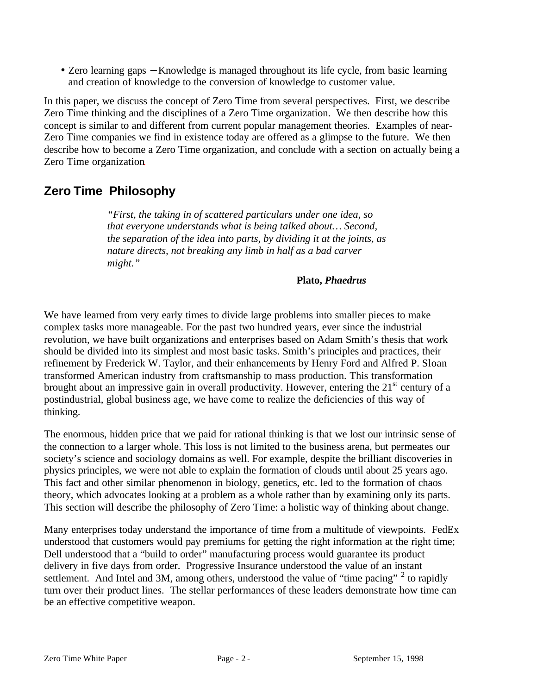• Zero learning gaps − Knowledge is managed throughout its life cycle, from basic learning and creation of knowledge to the conversion of knowledge to customer value.

In this paper, we discuss the concept of Zero Time from several perspectives. First, we describe Zero Time thinking and the disciplines of a Zero Time organization. We then describe how this concept is similar to and different from current popular management theories. Examples of near-Zero Time companies we find in existence today are offered as a glimpse to the future. We then describe how to become a Zero Time organization, and conclude with a section on actually being a Zero Time organization.

# **Zero Time Philosophy**

*"First, the taking in of scattered particulars under one idea, so that everyone understands what is being talked about… Second, the separation of the idea into parts, by dividing it at the joints, as nature directs, not breaking any limb in half as a bad carver might."*

#### **Plato,** *Phaedrus*

We have learned from very early times to divide large problems into smaller pieces to make complex tasks more manageable. For the past two hundred years, ever since the industrial revolution, we have built organizations and enterprises based on Adam Smith's thesis that work should be divided into its simplest and most basic tasks. Smith's principles and practices, their refinement by Frederick W. Taylor, and their enhancements by Henry Ford and Alfred P. Sloan transformed American industry from craftsmanship to mass production. This transformation brought about an impressive gain in overall productivity. However, entering the  $21<sup>st</sup>$  century of a postindustrial, global business age, we have come to realize the deficiencies of this way of thinking.

The enormous, hidden price that we paid for rational thinking is that we lost our intrinsic sense of the connection to a larger whole. This loss is not limited to the business arena, but permeates our society's science and sociology domains as well. For example, despite the brilliant discoveries in physics principles, we were not able to explain the formation of clouds until about 25 years ago. This fact and other similar phenomenon in biology, genetics, etc. led to the formation of chaos theory, which advocates looking at a problem as a whole rather than by examining only its parts. This section will describe the philosophy of Zero Time: a holistic way of thinking about change.

Many enterprises today understand the importance of time from a multitude of viewpoints. FedEx understood that customers would pay premiums for getting the right information at the right time; Dell understood that a "build to order" manufacturing process would guarantee its product delivery in five days from order. Progressive Insurance understood the value of an instant settlement. And Intel and 3M, among others, understood the value of "time pacing"  $2$  to rapidly turn over their product lines. The stellar performances of these leaders demonstrate how time can be an effective competitive weapon.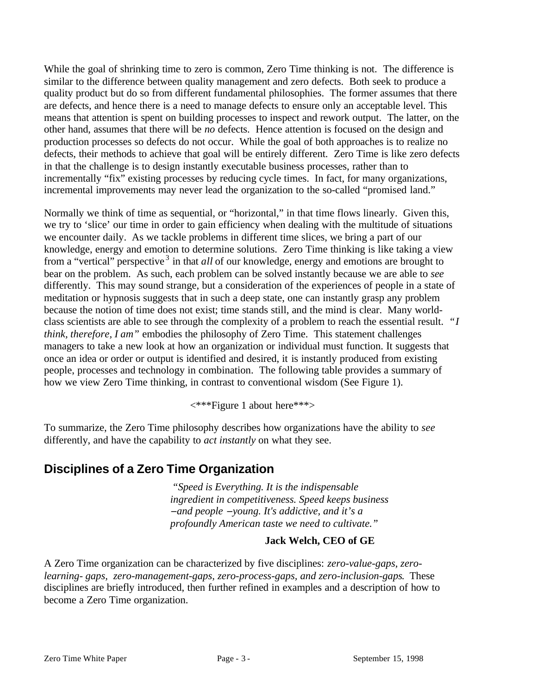While the goal of shrinking time to zero is common, Zero Time thinking is not. The difference is similar to the difference between quality management and zero defects. Both seek to produce a quality product but do so from different fundamental philosophies. The former assumes that there are defects, and hence there is a need to manage defects to ensure only an acceptable level. This means that attention is spent on building processes to inspect and rework output. The latter, on the other hand, assumes that there will be *no* defects. Hence attention is focused on the design and production processes so defects do not occur. While the goal of both approaches is to realize no defects, their methods to achieve that goal will be entirely different. Zero Time is like zero defects in that the challenge is to design instantly executable business processes, rather than to incrementally "fix" existing processes by reducing cycle times. In fact, for many organizations, incremental improvements may never lead the organization to the so-called "promised land."

Normally we think of time as sequential, or "horizontal," in that time flows linearly. Given this, we try to 'slice' our time in order to gain efficiency when dealing with the multitude of situations we encounter daily. As we tackle problems in different time slices, we bring a part of our knowledge, energy and emotion to determine solutions. Zero Time thinking is like taking a view from a "vertical" perspective <sup>3</sup> in that *all* of our knowledge, energy and emotions are brought to bear on the problem. As such, each problem can be solved instantly because we are able to *see* differently. This may sound strange, but a consideration of the experiences of people in a state of meditation or hypnosis suggests that in such a deep state, one can instantly grasp any problem because the notion of time does not exist; time stands still, and the mind is clear. Many worldclass scientists are able to see through the complexity of a problem to reach the essential result. *"I think, therefore, I am*" embodies the philosophy of Zero Time. This statement challenges managers to take a new look at how an organization or individual must function. It suggests that once an idea or order or output is identified and desired, it is instantly produced from existing people, processes and technology in combination. The following table provides a summary of how we view Zero Time thinking, in contrast to conventional wisdom (See Figure 1).

<\*\*\*Figure 1 about here\*\*\*>

To summarize, the Zero Time philosophy describes how organizations have the ability to *see* differently, and have the capability to *act instantly* on what they see.

# **Disciplines of a Zero Time Organization**

*"Speed is Everything. It is the indispensable ingredient in competitiveness. Speed keeps business* − *and people* − *young. It's addictive, and it's a profoundly American taste we need to cultivate."*

## **Jack Welch, CEO of GE**

A Zero Time organization can be characterized by five disciplines: *zero-value-gaps, zerolearning- gaps, zero-management-gaps, zero-process-gaps, and zero-inclusion-gaps*. These disciplines are briefly introduced, then further refined in examples and a description of how to become a Zero Time organization.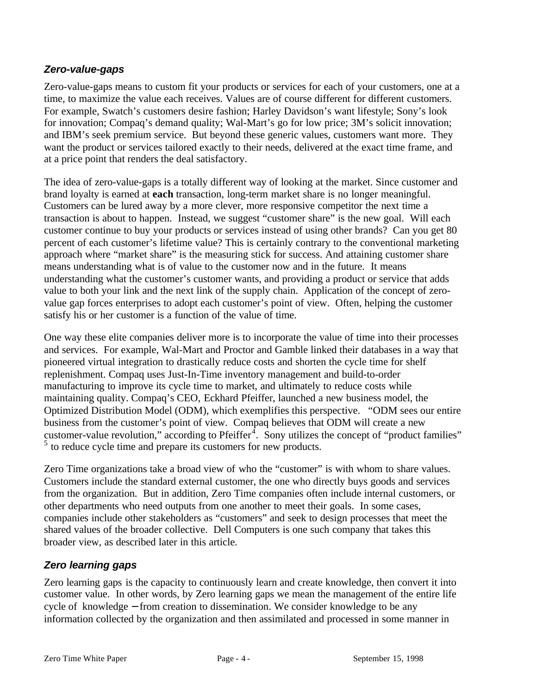## *Zero-value-gaps*

Zero-value-gaps means to custom fit your products or services for each of your customers, one at a time, to maximize the value each receives. Values are of course different for different customers. For example, Swatch's customers desire fashion; Harley Davidson's want lifestyle; Sony's look for innovation; Compaq's demand quality; Wal-Mart's go for low price; 3M's solicit innovation; and IBM's seek premium service. But beyond these generic values, customers want more. They want the product or services tailored exactly to their needs, delivered at the exact time frame, and at a price point that renders the deal satisfactory.

The idea of zero-value-gaps is a totally different way of looking at the market. Since customer and brand loyalty is earned at **each** transaction, long-term market share is no longer meaningful. Customers can be lured away by a more clever, more responsive competitor the next time a transaction is about to happen. Instead, we suggest "customer share" is the new goal. Will each customer continue to buy your products or services instead of using other brands? Can you get 80 percent of each customer's lifetime value? This is certainly contrary to the conventional marketing approach where "market share" is the measuring stick for success. And attaining customer share means understanding what is of value to the customer now and in the future. It means understanding what the customer's customer wants, and providing a product or service that adds value to both your link and the next link of the supply chain. Application of the concept of zerovalue gap forces enterprises to adopt each customer's point of view. Often, helping the customer satisfy his or her customer is a function of the value of time.

One way these elite companies deliver more is to incorporate the value of time into their processes and services. For example, Wal-Mart and Proctor and Gamble linked their databases in a way that pioneered virtual integration to drastically reduce costs and shorten the cycle time for shelf replenishment. Compaq uses Just-In-Time inventory management and build-to-order manufacturing to improve its cycle time to market, and ultimately to reduce costs while maintaining quality. Compaq's CEO, Eckhard Pfeiffer, launched a new business model, the Optimized Distribution Model (ODM), which exemplifies this perspective. "ODM sees our entire business from the customer's point of view. Compaq believes that ODM will create a new customer-value revolution," according to Pfeiffer $\overline{4}$ . Sony utilizes the concept of "product families" <sup>5</sup> to reduce cycle time and prepare its customers for new products.

Zero Time organizations take a broad view of who the "customer" is with whom to share values. Customers include the standard external customer, the one who directly buys goods and services from the organization. But in addition, Zero Time companies often include internal customers, or other departments who need outputs from one another to meet their goals. In some cases, companies include other stakeholders as "customers" and seek to design processes that meet the shared values of the broader collective. Dell Computers is one such company that takes this broader view, as described later in this article.

## *Zero learning gaps*

Zero learning gaps is the capacity to continuously learn and create knowledge, then convert it into customer value. In other words, by Zero learning gaps we mean the management of the entire life cycle of knowledge − from creation to dissemination. We consider knowledge to be any information collected by the organization and then assimilated and processed in some manner in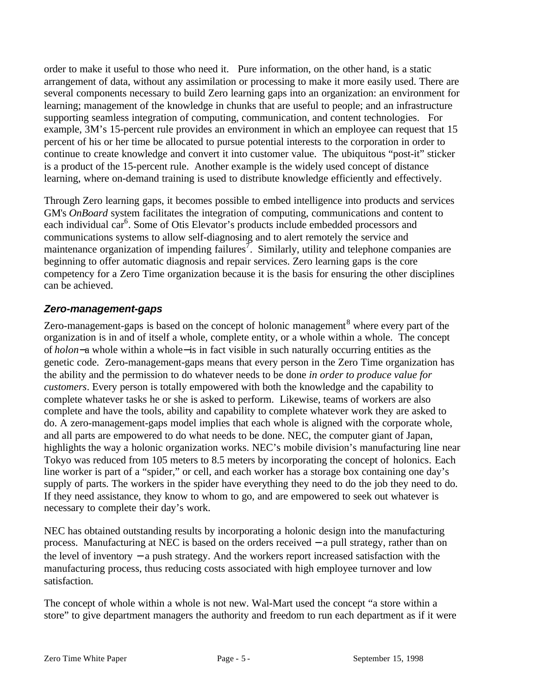order to make it useful to those who need it. Pure information, on the other hand, is a static arrangement of data, without any assimilation or processing to make it more easily used. There are several components necessary to build Zero learning gaps into an organization: an environment for learning; management of the knowledge in chunks that are useful to people; and an infrastructure supporting seamless integration of computing, communication, and content technologies. For example, 3M's 15-percent rule provides an environment in which an employee can request that 15 percent of his or her time be allocated to pursue potential interests to the corporation in order to continue to create knowledge and convert it into customer value. The ubiquitous "post-it" sticker is a product of the 15-percent rule. Another example is the widely used concept of distance learning, where on-demand training is used to distribute knowledge efficiently and effectively.

Through Zero learning gaps, it becomes possible to embed intelligence into products and services GM's *OnBoard* system facilitates the integration of computing, communications and content to each individual car<sup>6</sup>. Some of Otis Elevator's products include embedded processors and communications systems to allow self-diagnosing and to alert remotely the service and maintenance organization of impending failures<sup>7</sup>. Similarly, utility and telephone companies are beginning to offer automatic diagnosis and repair services. Zero learning gaps is the core competency for a Zero Time organization because it is the basis for ensuring the other disciplines can be achieved.

## *Zero-management-gaps*

Zero-management-gaps is based on the concept of holonic management<sup>8</sup> where every part of the organization is in and of itself a whole, complete entity, or a whole within a whole. The concept of *holon*−a whole within a whole−is in fact visible in such naturally occurring entities as the genetic code. Zero-management-gaps means that every person in the Zero Time organization has the ability and the permission to do whatever needs to be done *in order to produce value for customers*. Every person is totally empowered with both the knowledge and the capability to complete whatever tasks he or she is asked to perform. Likewise, teams of workers are also complete and have the tools, ability and capability to complete whatever work they are asked to do. A zero-management-gaps model implies that each whole is aligned with the corporate whole, and all parts are empowered to do what needs to be done. NEC, the computer giant of Japan, highlights the way a holonic organization works. NEC's mobile division's manufacturing line near Tokyo was reduced from 105 meters to 8.5 meters by incorporating the concept of holonics. Each line worker is part of a "spider," or cell, and each worker has a storage box containing one day's supply of parts. The workers in the spider have everything they need to do the job they need to do. If they need assistance, they know to whom to go, and are empowered to seek out whatever is necessary to complete their day's work.

NEC has obtained outstanding results by incorporating a holonic design into the manufacturing process. Manufacturing at NEC is based on the orders received − a pull strategy, rather than on the level of inventory − a push strategy. And the workers report increased satisfaction with the manufacturing process, thus reducing costs associated with high employee turnover and low satisfaction.

The concept of whole within a whole is not new. Wal-Mart used the concept "a store within a store" to give department managers the authority and freedom to run each department as if it were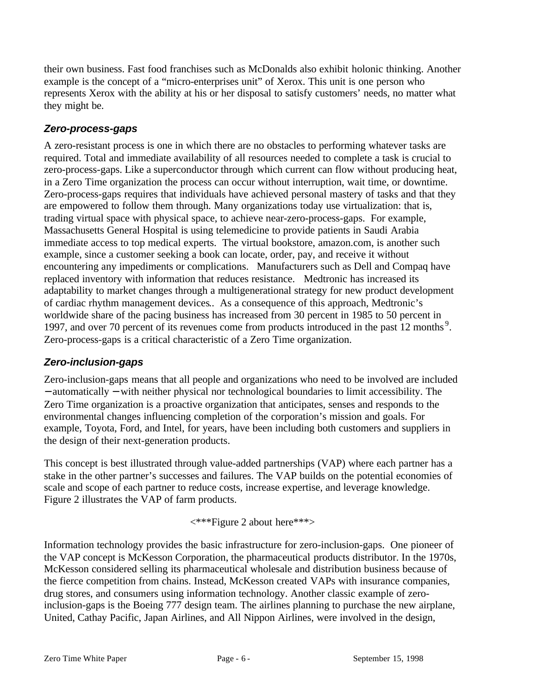their own business. Fast food franchises such as McDonalds also exhibit holonic thinking. Another example is the concept of a "micro-enterprises unit" of Xerox. This unit is one person who represents Xerox with the ability at his or her disposal to satisfy customers' needs, no matter what they might be.

## *Zero-process-gaps*

A zero-resistant process is one in which there are no obstacles to performing whatever tasks are required. Total and immediate availability of all resources needed to complete a task is crucial to zero-process-gaps. Like a superconductor through which current can flow without producing heat, in a Zero Time organization the process can occur without interruption, wait time, or downtime. Zero-process-gaps requires that individuals have achieved personal mastery of tasks and that they are empowered to follow them through. Many organizations today use virtualization: that is, trading virtual space with physical space, to achieve near-zero-process-gaps. For example, Massachusetts General Hospital is using telemedicine to provide patients in Saudi Arabia immediate access to top medical experts. The virtual bookstore, amazon.com, is another such example, since a customer seeking a book can locate, order, pay, and receive it without encountering any impediments or complications. Manufacturers such as Dell and Compaq have replaced inventory with information that reduces resistance. Medtronic has increased its adaptability to market changes through a multigenerational strategy for new product development of cardiac rhythm management devices.. As a consequence of this approach, Medtronic's worldwide share of the pacing business has increased from 30 percent in 1985 to 50 percent in 1997, and over 70 percent of its revenues come from products introduced in the past 12 months<sup>9</sup>. Zero-process-gaps is a critical characteristic of a Zero Time organization.

## *Zero-inclusion-gaps*

Zero-inclusion-gaps means that all people and organizations who need to be involved are included − automatically − with neither physical nor technological boundaries to limit accessibility. The Zero Time organization is a proactive organization that anticipates, senses and responds to the environmental changes influencing completion of the corporation's mission and goals. For example, Toyota, Ford, and Intel, for years, have been including both customers and suppliers in the design of their next-generation products.

This concept is best illustrated through value-added partnerships (VAP) where each partner has a stake in the other partner's successes and failures. The VAP builds on the potential economies of scale and scope of each partner to reduce costs, increase expertise, and leverage knowledge. Figure 2 illustrates the VAP of farm products.

<\*\*\*Figure 2 about here\*\*\*>

Information technology provides the basic infrastructure for zero-inclusion-gaps. One pioneer of the VAP concept is McKesson Corporation, the pharmaceutical products distributor. In the 1970s, McKesson considered selling its pharmaceutical wholesale and distribution business because of the fierce competition from chains. Instead, McKesson created VAPs with insurance companies, drug stores, and consumers using information technology. Another classic example of zeroinclusion-gaps is the Boeing 777 design team. The airlines planning to purchase the new airplane, United, Cathay Pacific, Japan Airlines, and All Nippon Airlines, were involved in the design,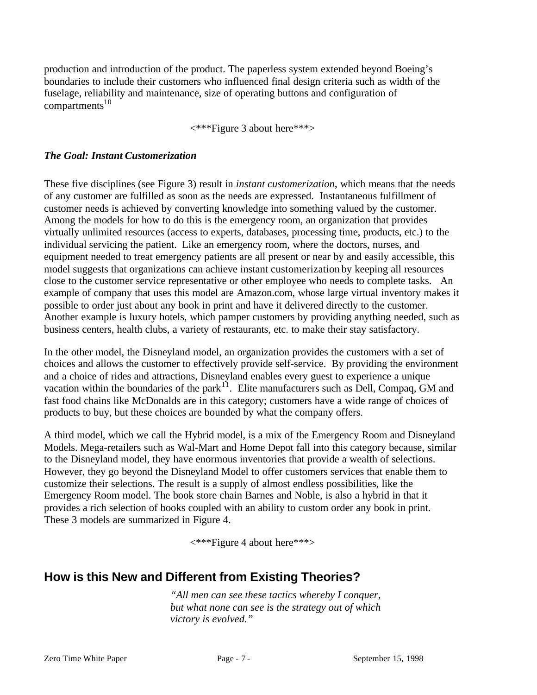production and introduction of the product. The paperless system extended beyond Boeing's boundaries to include their customers who influenced final design criteria such as width of the fuselage, reliability and maintenance, size of operating buttons and configuration of  $compartments<sup>10</sup>$ 

<\*\*\*Figure 3 about here\*\*\*>

#### *The Goal: Instant Customerization*

These five disciplines (see Figure 3) result in *instant customerization*, which means that the needs of any customer are fulfilled as soon as the needs are expressed. Instantaneous fulfillment of customer needs is achieved by converting knowledge into something valued by the customer. Among the models for how to do this is the emergency room, an organization that provides virtually unlimited resources (access to experts, databases, processing time, products, etc.) to the individual servicing the patient. Like an emergency room, where the doctors, nurses, and equipment needed to treat emergency patients are all present or near by and easily accessible, this model suggests that organizations can achieve instant customerization by keeping all resources close to the customer service representative or other employee who needs to complete tasks. An example of company that uses this model are Amazon.com, whose large virtual inventory makes it possible to order just about any book in print and have it delivered directly to the customer. Another example is luxury hotels, which pamper customers by providing anything needed, such as business centers, health clubs, a variety of restaurants, etc. to make their stay satisfactory.

In the other model, the Disneyland model, an organization provides the customers with a set of choices and allows the customer to effectively provide self-service. By providing the environment and a choice of rides and attractions, Disneyland enables every guest to experience a unique vacation within the boundaries of the park<sup>11</sup>. Elite manufacturers such as Dell, Compaq, GM and fast food chains like McDonalds are in this category; customers have a wide range of choices of products to buy, but these choices are bounded by what the company offers.

A third model, which we call the Hybrid model, is a mix of the Emergency Room and Disneyland Models. Mega-retailers such as Wal-Mart and Home Depot fall into this category because, similar to the Disneyland model, they have enormous inventories that provide a wealth of selections. However, they go beyond the Disneyland Model to offer customers services that enable them to customize their selections. The result is a supply of almost endless possibilities, like the Emergency Room model. The book store chain Barnes and Noble, is also a hybrid in that it provides a rich selection of books coupled with an ability to custom order any book in print. These 3 models are summarized in Figure 4.

<\*\*\*Figure 4 about here\*\*\*>

## **How is this New and Different from Existing Theories?**

*"All men can see these tactics whereby I conquer, but what none can see is the strategy out of which victory is evolved."*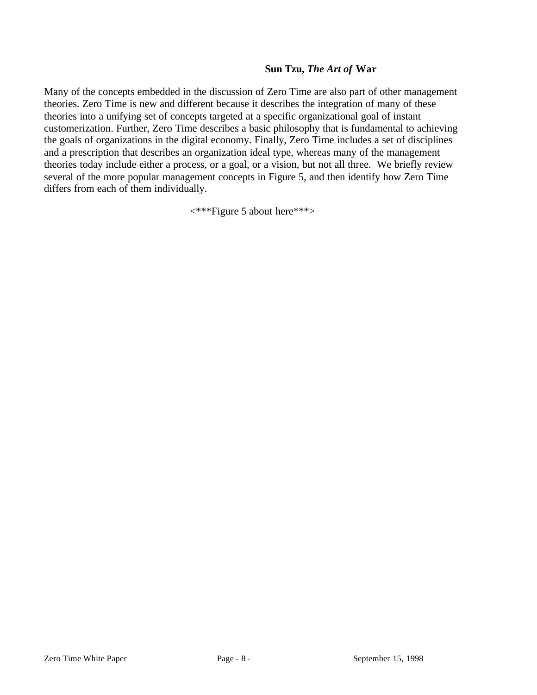### **Sun Tzu,** *The Art of* **War**

Many of the concepts embedded in the discussion of Zero Time are also part of other management theories. Zero Time is new and different because it describes the integration of many of these theories into a unifying set of concepts targeted at a specific organizational goal of instant customerization. Further, Zero Time describes a basic philosophy that is fundamental to achieving the goals of organizations in the digital economy. Finally, Zero Time includes a set of disciplines and a prescription that describes an organization ideal type, whereas many of the management theories today include either a process, or a goal, or a vision, but not all three. We briefly review several of the more popular management concepts in Figure 5, and then identify how Zero Time differs from each of them individually.

<\*\*\*Figure 5 about here\*\*\*>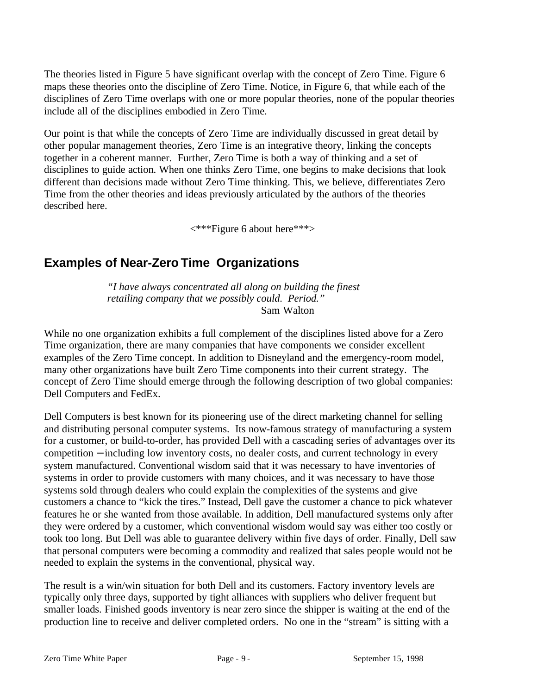The theories listed in Figure 5 have significant overlap with the concept of Zero Time. Figure 6 maps these theories onto the discipline of Zero Time. Notice, in Figure 6, that while each of the disciplines of Zero Time overlaps with one or more popular theories, none of the popular theories include all of the disciplines embodied in Zero Time.

Our point is that while the concepts of Zero Time are individually discussed in great detail by other popular management theories, Zero Time is an integrative theory, linking the concepts together in a coherent manner. Further, Zero Time is both a way of thinking and a set of disciplines to guide action. When one thinks Zero Time, one begins to make decisions that look different than decisions made without Zero Time thinking. This, we believe, differentiates Zero Time from the other theories and ideas previously articulated by the authors of the theories described here.

<\*\*\*Figure 6 about here\*\*\*>

# **Examples of Near-Zero Time Organizations**

*"I have always concentrated all along on building the finest retailing company that we possibly could. Period."* Sam Walton

While no one organization exhibits a full complement of the disciplines listed above for a Zero Time organization, there are many companies that have components we consider excellent examples of the Zero Time concept. In addition to Disneyland and the emergency-room model, many other organizations have built Zero Time components into their current strategy. The concept of Zero Time should emerge through the following description of two global companies: Dell Computers and FedEx.

Dell Computers is best known for its pioneering use of the direct marketing channel for selling and distributing personal computer systems. Its now-famous strategy of manufacturing a system for a customer, or build-to-order, has provided Dell with a cascading series of advantages over its competition − including low inventory costs, no dealer costs, and current technology in every system manufactured. Conventional wisdom said that it was necessary to have inventories of systems in order to provide customers with many choices, and it was necessary to have those systems sold through dealers who could explain the complexities of the systems and give customers a chance to "kick the tires." Instead, Dell gave the customer a chance to pick whatever features he or she wanted from those available. In addition, Dell manufactured systems only after they were ordered by a customer, which conventional wisdom would say was either too costly or took too long. But Dell was able to guarantee delivery within five days of order. Finally, Dell saw that personal computers were becoming a commodity and realized that sales people would not be needed to explain the systems in the conventional, physical way.

The result is a win/win situation for both Dell and its customers. Factory inventory levels are typically only three days, supported by tight alliances with suppliers who deliver frequent but smaller loads. Finished goods inventory is near zero since the shipper is waiting at the end of the production line to receive and deliver completed orders. No one in the "stream" is sitting with a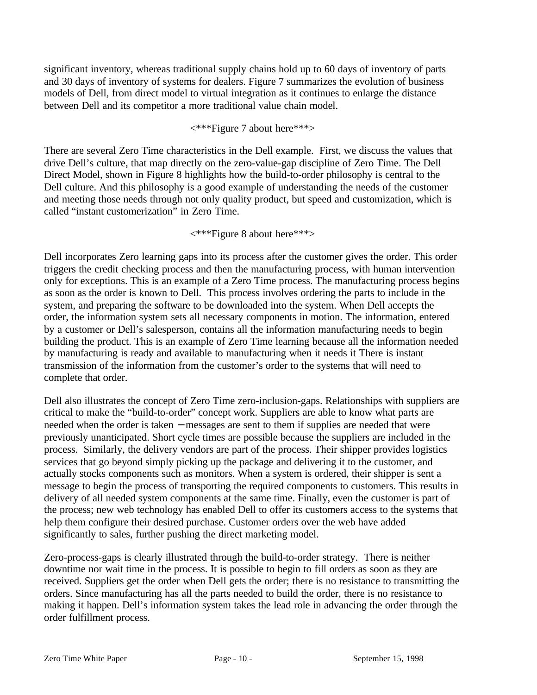significant inventory, whereas traditional supply chains hold up to 60 days of inventory of parts and 30 days of inventory of systems for dealers. Figure 7 summarizes the evolution of business models of Dell, from direct model to virtual integration as it continues to enlarge the distance between Dell and its competitor a more traditional value chain model.

### <\*\*\*Figure 7 about here\*\*\*>

There are several Zero Time characteristics in the Dell example. First, we discuss the values that drive Dell's culture, that map directly on the zero-value-gap discipline of Zero Time. The Dell Direct Model, shown in Figure 8 highlights how the build-to-order philosophy is central to the Dell culture. And this philosophy is a good example of understanding the needs of the customer and meeting those needs through not only quality product, but speed and customization, which is called "instant customerization" in Zero Time.

<\*\*\*Figure 8 about here\*\*\*>

Dell incorporates Zero learning gaps into its process after the customer gives the order. This order triggers the credit checking process and then the manufacturing process, with human intervention only for exceptions. This is an example of a Zero Time process. The manufacturing process begins as soon as the order is known to Dell. This process involves ordering the parts to include in the system, and preparing the software to be downloaded into the system. When Dell accepts the order, the information system sets all necessary components in motion. The information, entered by a customer or Dell's salesperson, contains all the information manufacturing needs to begin building the product. This is an example of Zero Time learning because all the information needed by manufacturing is ready and available to manufacturing when it needs it There is instant transmission of the information from the customer's order to the systems that will need to complete that order.

Dell also illustrates the concept of Zero Time zero-inclusion-gaps. Relationships with suppliers are critical to make the "build-to-order" concept work. Suppliers are able to know what parts are needed when the order is taken – messages are sent to them if supplies are needed that were previously unanticipated. Short cycle times are possible because the suppliers are included in the process. Similarly, the delivery vendors are part of the process. Their shipper provides logistics services that go beyond simply picking up the package and delivering it to the customer, and actually stocks components such as monitors. When a system is ordered, their shipper is sent a message to begin the process of transporting the required components to customers. This results in delivery of all needed system components at the same time. Finally, even the customer is part of the process; new web technology has enabled Dell to offer its customers access to the systems that help them configure their desired purchase. Customer orders over the web have added significantly to sales, further pushing the direct marketing model.

Zero-process-gaps is clearly illustrated through the build-to-order strategy. There is neither downtime nor wait time in the process. It is possible to begin to fill orders as soon as they are received. Suppliers get the order when Dell gets the order; there is no resistance to transmitting the orders. Since manufacturing has all the parts needed to build the order, there is no resistance to making it happen. Dell's information system takes the lead role in advancing the order through the order fulfillment process.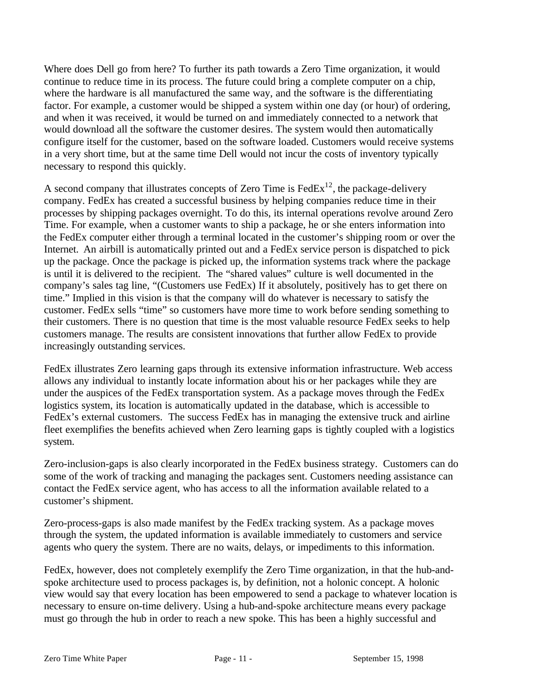Where does Dell go from here? To further its path towards a Zero Time organization, it would continue to reduce time in its process. The future could bring a complete computer on a chip, where the hardware is all manufactured the same way, and the software is the differentiating factor. For example, a customer would be shipped a system within one day (or hour) of ordering, and when it was received, it would be turned on and immediately connected to a network that would download all the software the customer desires. The system would then automatically configure itself for the customer, based on the software loaded. Customers would receive systems in a very short time, but at the same time Dell would not incur the costs of inventory typically necessary to respond this quickly.

A second company that illustrates concepts of Zero Time is  $FedEx^{12}$ , the package-delivery company. FedEx has created a successful business by helping companies reduce time in their processes by shipping packages overnight. To do this, its internal operations revolve around Zero Time. For example, when a customer wants to ship a package, he or she enters information into the FedEx computer either through a terminal located in the customer's shipping room or over the Internet. An airbill is automatically printed out and a FedEx service person is dispatched to pick up the package. Once the package is picked up, the information systems track where the package is until it is delivered to the recipient. The "shared values" culture is well documented in the company's sales tag line, "(Customers use FedEx) If it absolutely, positively has to get there on time." Implied in this vision is that the company will do whatever is necessary to satisfy the customer. FedEx sells "time" so customers have more time to work before sending something to their customers. There is no question that time is the most valuable resource FedEx seeks to help customers manage. The results are consistent innovations that further allow FedEx to provide increasingly outstanding services.

FedEx illustrates Zero learning gaps through its extensive information infrastructure. Web access allows any individual to instantly locate information about his or her packages while they are under the auspices of the FedEx transportation system. As a package moves through the FedEx logistics system, its location is automatically updated in the database, which is accessible to FedEx's external customers. The success FedEx has in managing the extensive truck and airline fleet exemplifies the benefits achieved when Zero learning gaps is tightly coupled with a logistics system.

Zero-inclusion-gaps is also clearly incorporated in the FedEx business strategy. Customers can do some of the work of tracking and managing the packages sent. Customers needing assistance can contact the FedEx service agent, who has access to all the information available related to a customer's shipment.

Zero-process-gaps is also made manifest by the FedEx tracking system. As a package moves through the system, the updated information is available immediately to customers and service agents who query the system. There are no waits, delays, or impediments to this information.

FedEx, however, does not completely exemplify the Zero Time organization, in that the hub-andspoke architecture used to process packages is, by definition, not a holonic concept. A holonic view would say that every location has been empowered to send a package to whatever location is necessary to ensure on-time delivery. Using a hub-and-spoke architecture means every package must go through the hub in order to reach a new spoke. This has been a highly successful and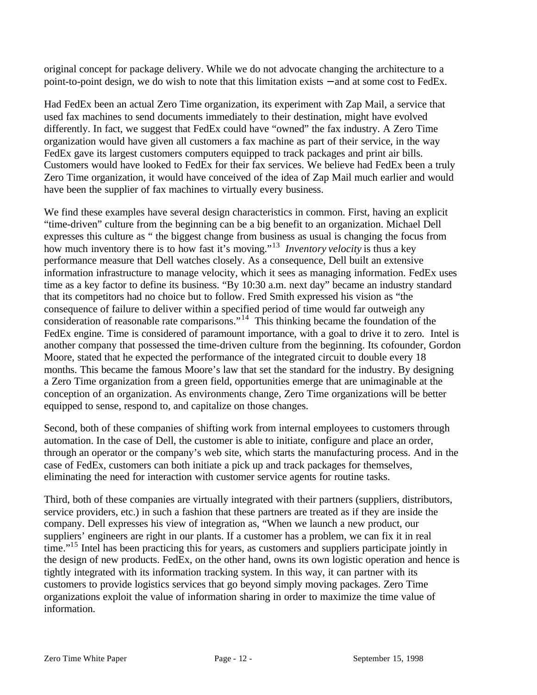original concept for package delivery. While we do not advocate changing the architecture to a point-to-point design, we do wish to note that this limitation exists − and at some cost to FedEx.

Had FedEx been an actual Zero Time organization, its experiment with Zap Mail, a service that used fax machines to send documents immediately to their destination, might have evolved differently. In fact, we suggest that FedEx could have "owned" the fax industry. A Zero Time organization would have given all customers a fax machine as part of their service, in the way FedEx gave its largest customers computers equipped to track packages and print air bills. Customers would have looked to FedEx for their fax services. We believe had FedEx been a truly Zero Time organization, it would have conceived of the idea of Zap Mail much earlier and would have been the supplier of fax machines to virtually every business.

We find these examples have several design characteristics in common. First, having an explicit "time-driven" culture from the beginning can be a big benefit to an organization. Michael Dell expresses this culture as " the biggest change from business as usual is changing the focus from how much inventory there is to how fast it's moving."<sup>13</sup> *Inventory velocity* is thus a key performance measure that Dell watches closely. As a consequence, Dell built an extensive information infrastructure to manage velocity, which it sees as managing information. FedEx uses time as a key factor to define its business. "By 10:30 a.m. next day" became an industry standard that its competitors had no choice but to follow. Fred Smith expressed his vision as "the consequence of failure to deliver within a specified period of time would far outweigh any consideration of reasonable rate comparisons."<sup>14</sup> This thinking became the foundation of the FedEx engine. Time is considered of paramount importance, with a goal to drive it to zero. Intel is another company that possessed the time-driven culture from the beginning. Its cofounder, Gordon Moore, stated that he expected the performance of the integrated circuit to double every 18 months. This became the famous Moore's law that set the standard for the industry. By designing a Zero Time organization from a green field, opportunities emerge that are unimaginable at the conception of an organization. As environments change, Zero Time organizations will be better equipped to sense, respond to, and capitalize on those changes.

Second, both of these companies of shifting work from internal employees to customers through automation. In the case of Dell, the customer is able to initiate, configure and place an order, through an operator or the company's web site, which starts the manufacturing process. And in the case of FedEx, customers can both initiate a pick up and track packages for themselves, eliminating the need for interaction with customer service agents for routine tasks.

Third, both of these companies are virtually integrated with their partners (suppliers, distributors, service providers, etc.) in such a fashion that these partners are treated as if they are inside the company. Dell expresses his view of integration as, "When we launch a new product, our suppliers' engineers are right in our plants. If a customer has a problem, we can fix it in real time."<sup>15</sup> Intel has been practicing this for years, as customers and suppliers participate jointly in the design of new products. FedEx, on the other hand, owns its own logistic operation and hence is tightly integrated with its information tracking system. In this way, it can partner with its customers to provide logistics services that go beyond simply moving packages. Zero Time organizations exploit the value of information sharing in order to maximize the time value of information.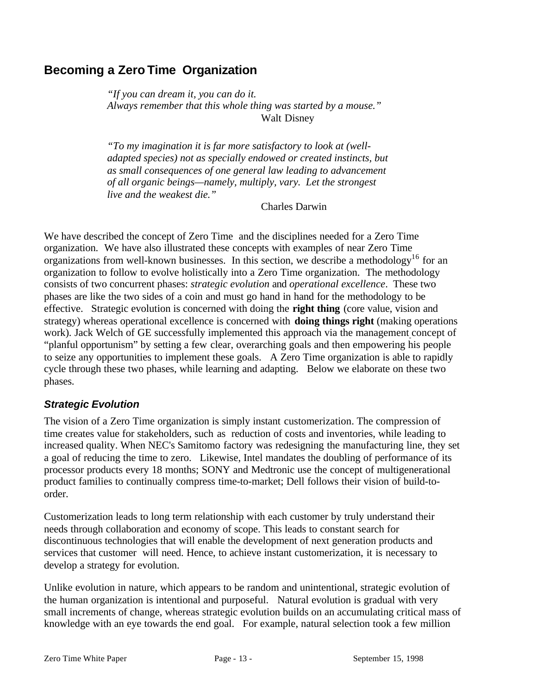# **Becoming a Zero Time Organization**

*"If you can dream it, you can do it. Always remember that this whole thing was started by a mouse."* Walt Disney

*"To my imagination it is far more satisfactory to look at (welladapted species) not as specially endowed or created instincts, but as small consequences of one general law leading to advancement of all organic beings—namely, multiply, vary. Let the strongest live and the weakest die."*

Charles Darwin

We have described the concept of Zero Time and the disciplines needed for a Zero Time organization. We have also illustrated these concepts with examples of near Zero Time organizations from well-known businesses. In this section, we describe a methodology<sup>16</sup> for an organization to follow to evolve holistically into a Zero Time organization. The methodology consists of two concurrent phases: *strategic evolution* and *operational excellence*. These two phases are like the two sides of a coin and must go hand in hand for the methodology to be effective. Strategic evolution is concerned with doing the **right thing** (core value, vision and strategy) whereas operational excellence is concerned with **doing things right** (making operations work). Jack Welch of GE successfully implemented this approach via the management concept of "planful opportunism" by setting a few clear, overarching goals and then empowering his people to seize any opportunities to implement these goals. A Zero Time organization is able to rapidly cycle through these two phases, while learning and adapting. Below we elaborate on these two phases.

## *Strategic Evolution*

The vision of a Zero Time organization is simply instant customerization. The compression of time creates value for stakeholders, such as reduction of costs and inventories, while leading to increased quality. When NEC's Samitomo factory was redesigning the manufacturing line, they set a goal of reducing the time to zero. Likewise, Intel mandates the doubling of performance of its processor products every 18 months; SONY and Medtronic use the concept of multigenerational product families to continually compress time-to-market; Dell follows their vision of build-toorder.

Customerization leads to long term relationship with each customer by truly understand their needs through collaboration and economy of scope. This leads to constant search for discontinuous technologies that will enable the development of next generation products and services that customer will need. Hence, to achieve instant customerization, it is necessary to develop a strategy for evolution.

Unlike evolution in nature, which appears to be random and unintentional, strategic evolution of the human organization is intentional and purposeful. Natural evolution is gradual with very small increments of change, whereas strategic evolution builds on an accumulating critical mass of knowledge with an eye towards the end goal. For example, natural selection took a few million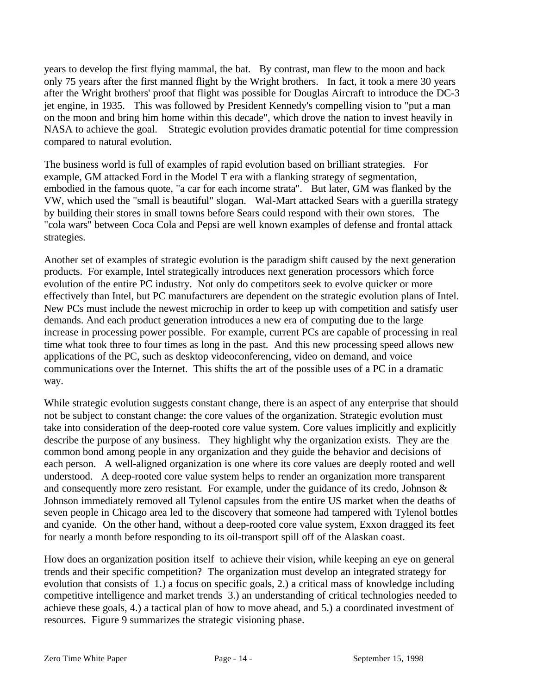years to develop the first flying mammal, the bat. By contrast, man flew to the moon and back only 75 years after the first manned flight by the Wright brothers. In fact, it took a mere 30 years after the Wright brothers' proof that flight was possible for Douglas Aircraft to introduce the DC-3 jet engine, in 1935. This was followed by President Kennedy's compelling vision to "put a man on the moon and bring him home within this decade", which drove the nation to invest heavily in NASA to achieve the goal. Strategic evolution provides dramatic potential for time compression compared to natural evolution.

The business world is full of examples of rapid evolution based on brilliant strategies. For example, GM attacked Ford in the Model T era with a flanking strategy of segmentation, embodied in the famous quote, "a car for each income strata". But later, GM was flanked by the VW, which used the "small is beautiful" slogan. Wal-Mart attacked Sears with a guerilla strategy by building their stores in small towns before Sears could respond with their own stores. The "cola wars" between Coca Cola and Pepsi are well known examples of defense and frontal attack strategies.

Another set of examples of strategic evolution is the paradigm shift caused by the next generation products. For example, Intel strategically introduces next generation processors which force evolution of the entire PC industry. Not only do competitors seek to evolve quicker or more effectively than Intel, but PC manufacturers are dependent on the strategic evolution plans of Intel. New PCs must include the newest microchip in order to keep up with competition and satisfy user demands. And each product generation introduces a new era of computing due to the large increase in processing power possible. For example, current PCs are capable of processing in real time what took three to four times as long in the past. And this new processing speed allows new applications of the PC, such as desktop videoconferencing, video on demand, and voice communications over the Internet. This shifts the art of the possible uses of a PC in a dramatic way.

While strategic evolution suggests constant change, there is an aspect of any enterprise that should not be subject to constant change: the core values of the organization. Strategic evolution must take into consideration of the deep-rooted core value system. Core values implicitly and explicitly describe the purpose of any business. They highlight why the organization exists. They are the common bond among people in any organization and they guide the behavior and decisions of each person. A well-aligned organization is one where its core values are deeply rooted and well understood. A deep-rooted core value system helps to render an organization more transparent and consequently more zero resistant. For example, under the guidance of its credo, Johnson & Johnson immediately removed all Tylenol capsules from the entire US market when the deaths of seven people in Chicago area led to the discovery that someone had tampered with Tylenol bottles and cyanide. On the other hand, without a deep-rooted core value system, Exxon dragged its feet for nearly a month before responding to its oil-transport spill off of the Alaskan coast.

How does an organization position itself to achieve their vision, while keeping an eye on general trends and their specific competition? The organization must develop an integrated strategy for evolution that consists of 1.) a focus on specific goals, 2.) a critical mass of knowledge including competitive intelligence and market trends 3.) an understanding of critical technologies needed to achieve these goals, 4.) a tactical plan of how to move ahead, and 5.) a coordinated investment of resources. Figure 9 summarizes the strategic visioning phase.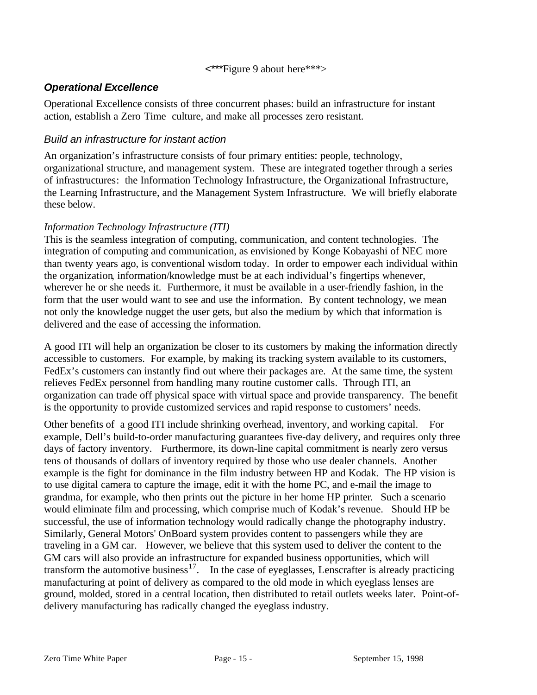#### <\*\*\*Figure 9 about here\*\*\*>

## *Operational Excellence*

Operational Excellence consists of three concurrent phases: build an infrastructure for instant action, establish a Zero Time culture, and make all processes zero resistant.

## *Build an infrastructure for instant action*

An organization's infrastructure consists of four primary entities: people, technology, organizational structure, and management system. These are integrated together through a series of infrastructures: the Information Technology Infrastructure, the Organizational Infrastructure, the Learning Infrastructure, and the Management System Infrastructure. We will briefly elaborate these below.

## *Information Technology Infrastructure (ITI)*

This is the seamless integration of computing, communication, and content technologies. The integration of computing and communication, as envisioned by Konge Kobayashi of NEC more than twenty years ago, is conventional wisdom today. In order to empower each individual within the organization, information/knowledge must be at each individual's fingertips whenever, wherever he or she needs it. Furthermore, it must be available in a user-friendly fashion, in the form that the user would want to see and use the information. By content technology, we mean not only the knowledge nugget the user gets, but also the medium by which that information is delivered and the ease of accessing the information.

A good ITI will help an organization be closer to its customers by making the information directly accessible to customers. For example, by making its tracking system available to its customers, FedEx's customers can instantly find out where their packages are. At the same time, the system relieves FedEx personnel from handling many routine customer calls. Through ITI, an organization can trade off physical space with virtual space and provide transparency. The benefit is the opportunity to provide customized services and rapid response to customers' needs.

Other benefits of a good ITI include shrinking overhead, inventory, and working capital. For example, Dell's build-to-order manufacturing guarantees five-day delivery, and requires only three days of factory inventory. Furthermore, its down-line capital commitment is nearly zero versus tens of thousands of dollars of inventory required by those who use dealer channels. Another example is the fight for dominance in the film industry between HP and Kodak. The HP vision is to use digital camera to capture the image, edit it with the home PC, and e-mail the image to grandma, for example, who then prints out the picture in her home HP printer. Such a scenario would eliminate film and processing, which comprise much of Kodak's revenue. Should HP be successful, the use of information technology would radically change the photography industry. Similarly, General Motors' OnBoard system provides content to passengers while they are traveling in a GM car. However, we believe that this system used to deliver the content to the GM cars will also provide an infrastructure for expanded business opportunities, which will transform the automotive business<sup>17</sup>. In the case of eyeglasses, Lenscrafter is already practicing manufacturing at point of delivery as compared to the old mode in which eyeglass lenses are ground, molded, stored in a central location, then distributed to retail outlets weeks later. Point-ofdelivery manufacturing has radically changed the eyeglass industry.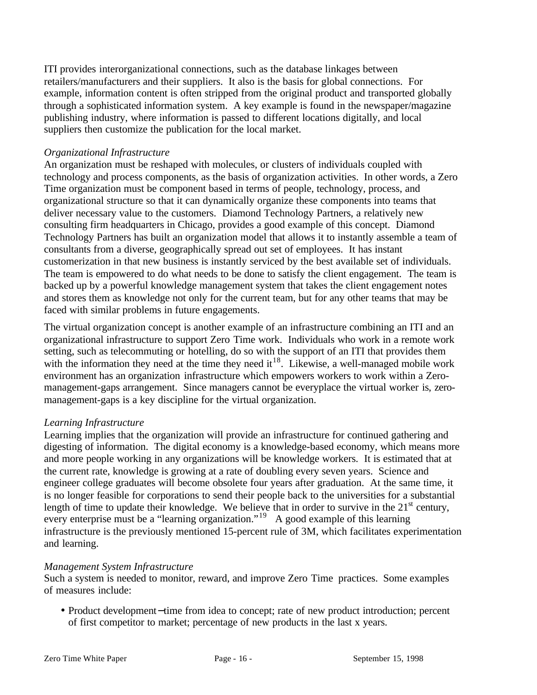ITI provides interorganizational connections, such as the database linkages between retailers/manufacturers and their suppliers. It also is the basis for global connections. For example, information content is often stripped from the original product and transported globally through a sophisticated information system. A key example is found in the newspaper/magazine publishing industry, where information is passed to different locations digitally, and local suppliers then customize the publication for the local market.

### *Organizational Infrastructure*

An organization must be reshaped with molecules, or clusters of individuals coupled with technology and process components, as the basis of organization activities. In other words, a Zero Time organization must be component based in terms of people, technology, process, and organizational structure so that it can dynamically organize these components into teams that deliver necessary value to the customers. Diamond Technology Partners, a relatively new consulting firm headquarters in Chicago, provides a good example of this concept. Diamond Technology Partners has built an organization model that allows it to instantly assemble a team of consultants from a diverse, geographically spread out set of employees. It has instant customerization in that new business is instantly serviced by the best available set of individuals. The team is empowered to do what needs to be done to satisfy the client engagement. The team is backed up by a powerful knowledge management system that takes the client engagement notes and stores them as knowledge not only for the current team, but for any other teams that may be faced with similar problems in future engagements.

The virtual organization concept is another example of an infrastructure combining an ITI and an organizational infrastructure to support Zero Time work. Individuals who work in a remote work setting, such as telecommuting or hotelling, do so with the support of an ITI that provides them with the information they need at the time they need it<sup>18</sup>. Likewise, a well-managed mobile work environment has an organization infrastructure which empowers workers to work within a Zeromanagement-gaps arrangement. Since managers cannot be everyplace the virtual worker is, zeromanagement-gaps is a key discipline for the virtual organization.

## *Learning Infrastructure*

Learning implies that the organization will provide an infrastructure for continued gathering and digesting of information. The digital economy is a knowledge-based economy, which means more and more people working in any organizations will be knowledge workers. It is estimated that at the current rate, knowledge is growing at a rate of doubling every seven years. Science and engineer college graduates will become obsolete four years after graduation. At the same time, it is no longer feasible for corporations to send their people back to the universities for a substantial length of time to update their knowledge. We believe that in order to survive in the  $21<sup>st</sup>$  century, every enterprise must be a "learning organization."<sup>19</sup> A good example of this learning infrastructure is the previously mentioned 15-percent rule of 3M, which facilitates experimentation and learning.

#### *Management System Infrastructure*

Such a system is needed to monitor, reward, and improve Zero Time practices. Some examples of measures include:

• Product development−time from idea to concept; rate of new product introduction; percent of first competitor to market; percentage of new products in the last x years.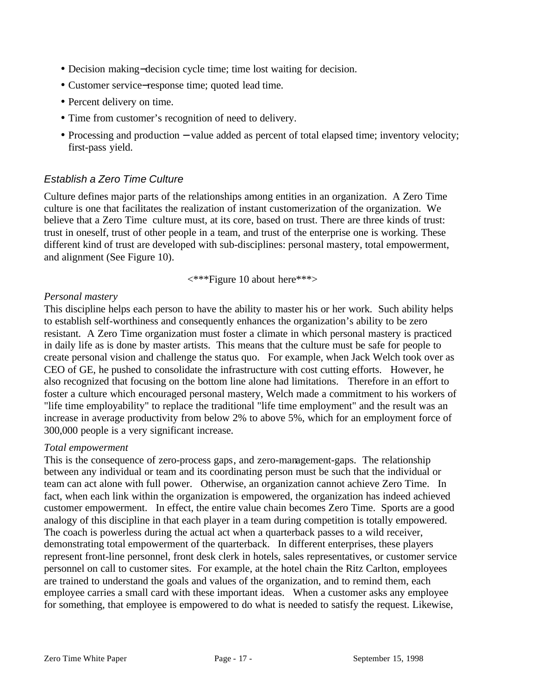- Decision making−decision cycle time; time lost waiting for decision.
- Customer service−response time; quoted lead time.
- Percent delivery on time.
- Time from customer's recognition of need to delivery.
- Processing and production − value added as percent of total elapsed time; inventory velocity; first-pass yield.

### *Establish a Zero Time Culture*

Culture defines major parts of the relationships among entities in an organization. A Zero Time culture is one that facilitates the realization of instant customerization of the organization. We believe that a Zero Time culture must, at its core, based on trust. There are three kinds of trust: trust in oneself, trust of other people in a team, and trust of the enterprise one is working. These different kind of trust are developed with sub-disciplines: personal mastery, total empowerment, and alignment (See Figure 10).

<\*\*\*Figure 10 about here\*\*\*>

#### *Personal mastery*

This discipline helps each person to have the ability to master his or her work. Such ability helps to establish self-worthiness and consequently enhances the organization's ability to be zero resistant. A Zero Time organization must foster a climate in which personal mastery is practiced in daily life as is done by master artists. This means that the culture must be safe for people to create personal vision and challenge the status quo. For example, when Jack Welch took over as CEO of GE, he pushed to consolidate the infrastructure with cost cutting efforts. However, he also recognized that focusing on the bottom line alone had limitations. Therefore in an effort to foster a culture which encouraged personal mastery, Welch made a commitment to his workers of "life time employability" to replace the traditional "life time employment" and the result was an increase in average productivity from below 2% to above 5%, which for an employment force of 300,000 people is a very significant increase.

#### *Total empowerment*

This is the consequence of zero-process gaps, and zero-management-gaps. The relationship between any individual or team and its coordinating person must be such that the individual or team can act alone with full power. Otherwise, an organization cannot achieve Zero Time. In fact, when each link within the organization is empowered, the organization has indeed achieved customer empowerment. In effect, the entire value chain becomes Zero Time. Sports are a good analogy of this discipline in that each player in a team during competition is totally empowered. The coach is powerless during the actual act when a quarterback passes to a wild receiver, demonstrating total empowerment of the quarterback. In different enterprises, these players represent front-line personnel, front desk clerk in hotels, sales representatives, or customer service personnel on call to customer sites. For example, at the hotel chain the Ritz Carlton, employees are trained to understand the goals and values of the organization, and to remind them, each employee carries a small card with these important ideas. When a customer asks any employee for something, that employee is empowered to do what is needed to satisfy the request. Likewise,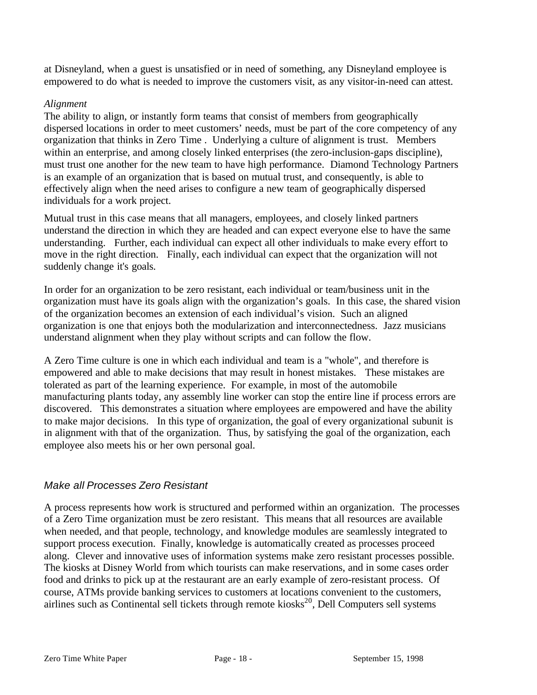at Disneyland, when a guest is unsatisfied or in need of something, any Disneyland employee is empowered to do what is needed to improve the customers visit, as any visitor-in-need can attest.

### *Alignment*

The ability to align, or instantly form teams that consist of members from geographically dispersed locations in order to meet customers' needs, must be part of the core competency of any organization that thinks in Zero Time . Underlying a culture of alignment is trust. Members within an enterprise, and among closely linked enterprises (the zero-inclusion-gaps discipline), must trust one another for the new team to have high performance. Diamond Technology Partners is an example of an organization that is based on mutual trust, and consequently, is able to effectively align when the need arises to configure a new team of geographically dispersed individuals for a work project.

Mutual trust in this case means that all managers, employees, and closely linked partners understand the direction in which they are headed and can expect everyone else to have the same understanding. Further, each individual can expect all other individuals to make every effort to move in the right direction. Finally, each individual can expect that the organization will not suddenly change it's goals.

In order for an organization to be zero resistant, each individual or team/business unit in the organization must have its goals align with the organization's goals. In this case, the shared vision of the organization becomes an extension of each individual's vision. Such an aligned organization is one that enjoys both the modularization and interconnectedness. Jazz musicians understand alignment when they play without scripts and can follow the flow.

A Zero Time culture is one in which each individual and team is a "whole", and therefore is empowered and able to make decisions that may result in honest mistakes. These mistakes are tolerated as part of the learning experience. For example, in most of the automobile manufacturing plants today, any assembly line worker can stop the entire line if process errors are discovered. This demonstrates a situation where employees are empowered and have the ability to make major decisions. In this type of organization, the goal of every organizational subunit is in alignment with that of the organization. Thus, by satisfying the goal of the organization, each employee also meets his or her own personal goal.

## *Make all Processes Zero Resistant*

A process represents how work is structured and performed within an organization. The processes of a Zero Time organization must be zero resistant. This means that all resources are available when needed, and that people, technology, and knowledge modules are seamlessly integrated to support process execution. Finally, knowledge is automatically created as processes proceed along. Clever and innovative uses of information systems make zero resistant processes possible. The kiosks at Disney World from which tourists can make reservations, and in some cases order food and drinks to pick up at the restaurant are an early example of zero-resistant process. Of course, ATMs provide banking services to customers at locations convenient to the customers, airlines such as Continental sell tickets through remote kiosks<sup>20</sup>, Dell Computers sell systems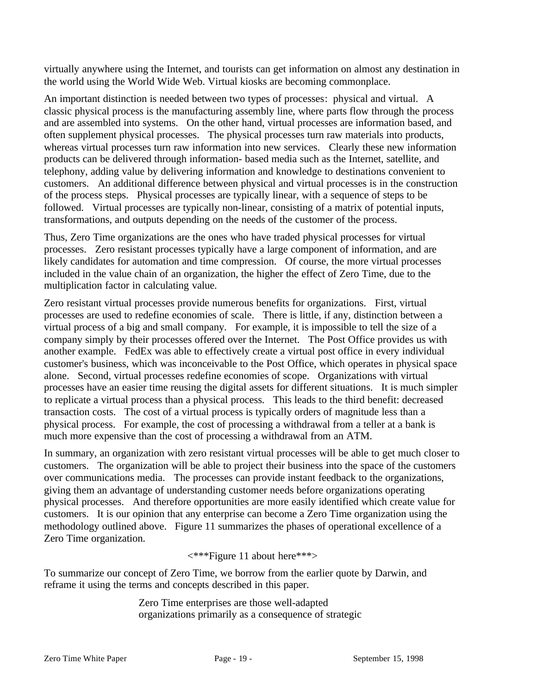virtually anywhere using the Internet, and tourists can get information on almost any destination in the world using the World Wide Web. Virtual kiosks are becoming commonplace.

An important distinction is needed between two types of processes: physical and virtual. A classic physical process is the manufacturing assembly line, where parts flow through the process and are assembled into systems. On the other hand, virtual processes are information based, and often supplement physical processes. The physical processes turn raw materials into products, whereas virtual processes turn raw information into new services. Clearly these new information products can be delivered through information- based media such as the Internet, satellite, and telephony, adding value by delivering information and knowledge to destinations convenient to customers. An additional difference between physical and virtual processes is in the construction of the process steps. Physical processes are typically linear, with a sequence of steps to be followed. Virtual processes are typically non-linear, consisting of a matrix of potential inputs, transformations, and outputs depending on the needs of the customer of the process.

Thus, Zero Time organizations are the ones who have traded physical processes for virtual processes. Zero resistant processes typically have a large component of information, and are likely candidates for automation and time compression. Of course, the more virtual processes included in the value chain of an organization, the higher the effect of Zero Time, due to the multiplication factor in calculating value.

Zero resistant virtual processes provide numerous benefits for organizations. First, virtual processes are used to redefine economies of scale. There is little, if any, distinction between a virtual process of a big and small company. For example, it is impossible to tell the size of a company simply by their processes offered over the Internet. The Post Office provides us with another example. FedEx was able to effectively create a virtual post office in every individual customer's business, which was inconceivable to the Post Office, which operates in physical space alone. Second, virtual processes redefine economies of scope. Organizations with virtual processes have an easier time reusing the digital assets for different situations. It is much simpler to replicate a virtual process than a physical process. This leads to the third benefit: decreased transaction costs. The cost of a virtual process is typically orders of magnitude less than a physical process. For example, the cost of processing a withdrawal from a teller at a bank is much more expensive than the cost of processing a withdrawal from an ATM.

In summary, an organization with zero resistant virtual processes will be able to get much closer to customers. The organization will be able to project their business into the space of the customers over communications media. The processes can provide instant feedback to the organizations, giving them an advantage of understanding customer needs before organizations operating physical processes. And therefore opportunities are more easily identified which create value for customers. It is our opinion that any enterprise can become a Zero Time organization using the methodology outlined above. Figure 11 summarizes the phases of operational excellence of a Zero Time organization.

<\*\*\*Figure 11 about here\*\*\*>

To summarize our concept of Zero Time, we borrow from the earlier quote by Darwin, and reframe it using the terms and concepts described in this paper.

> Zero Time enterprises are those well-adapted organizations primarily as a consequence of strategic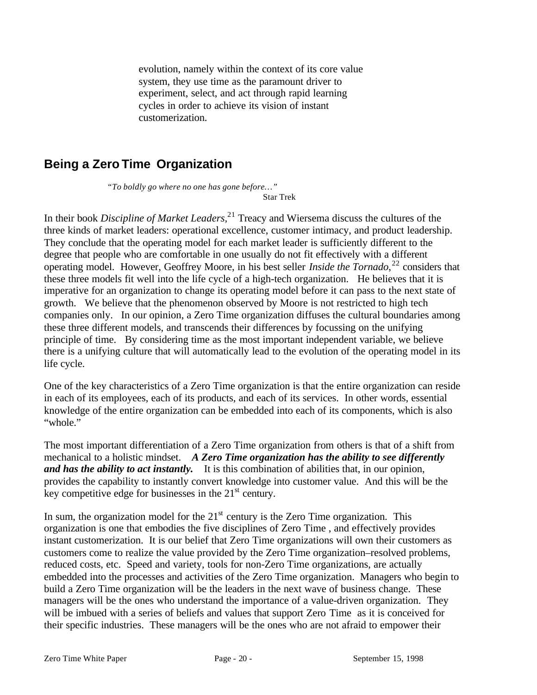evolution, namely within the context of its core value system, they use time as the paramount driver to experiment, select, and act through rapid learning cycles in order to achieve its vision of instant customerization.

# **Being a Zero Time Organization**

*"To boldly go where no one has gone before…"* Star Trek

In their book *Discipline of Market Leaders,*<sup>21</sup> Treacy and Wiersema discuss the cultures of the three kinds of market leaders: operational excellence, customer intimacy, and product leadership. They conclude that the operating model for each market leader is sufficiently different to the degree that people who are comfortable in one usually do not fit effectively with a different operating model. However, Geoffrey Moore, in his best seller *Inside the Tornado*, <sup>22</sup> considers that these three models fit well into the life cycle of a high-tech organization. He believes that it is imperative for an organization to change its operating model before it can pass to the next state of growth. We believe that the phenomenon observed by Moore is not restricted to high tech companies only. In our opinion, a Zero Time organization diffuses the cultural boundaries among these three different models, and transcends their differences by focussing on the unifying principle of time. By considering time as the most important independent variable, we believe there is a unifying culture that will automatically lead to the evolution of the operating model in its life cycle.

One of the key characteristics of a Zero Time organization is that the entire organization can reside in each of its employees, each of its products, and each of its services. In other words, essential knowledge of the entire organization can be embedded into each of its components, which is also "whole"

The most important differentiation of a Zero Time organization from others is that of a shift from mechanical to a holistic mindset. *A Zero Time organization has the ability to see differently and has the ability to act instantly.* It is this combination of abilities that, in our opinion, provides the capability to instantly convert knowledge into customer value. And this will be the key competitive edge for businesses in the  $21<sup>st</sup>$  century.

In sum, the organization model for the  $21<sup>st</sup>$  century is the Zero Time organization. This organization is one that embodies the five disciplines of Zero Time , and effectively provides instant customerization. It is our belief that Zero Time organizations will own their customers as customers come to realize the value provided by the Zero Time organization–resolved problems, reduced costs, etc. Speed and variety, tools for non-Zero Time organizations, are actually embedded into the processes and activities of the Zero Time organization. Managers who begin to build a Zero Time organization will be the leaders in the next wave of business change. These managers will be the ones who understand the importance of a value-driven organization. They will be imbued with a series of beliefs and values that support Zero Time as it is conceived for their specific industries. These managers will be the ones who are not afraid to empower their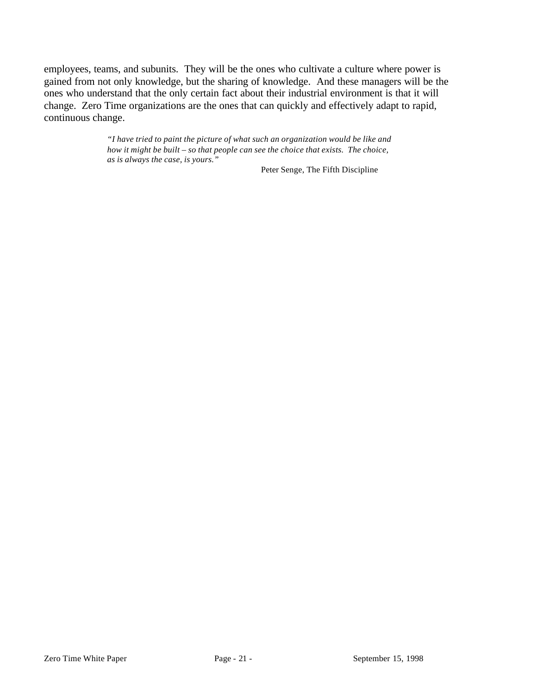employees, teams, and subunits. They will be the ones who cultivate a culture where power is gained from not only knowledge, but the sharing of knowledge. And these managers will be the ones who understand that the only certain fact about their industrial environment is that it will change. Zero Time organizations are the ones that can quickly and effectively adapt to rapid, continuous change.

> *"I have tried to paint the picture of what such an organization would be like and how it might be built – so that people can see the choice that exists. The choice, as is always the case, is yours."*

Peter Senge, The Fifth Discipline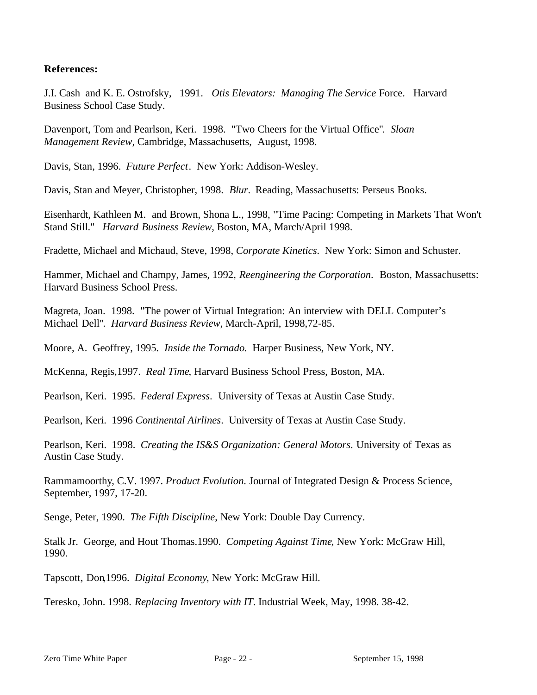### **References:**

J.I. Cash and K. E. Ostrofsky, 1991. *Otis Elevators: Managing The Service* Force. Harvard Business School Case Study.

Davenport, Tom and Pearlson, Keri. 1998. "Two Cheers for the Virtual Office"*. Sloan Management Review*, Cambridge, Massachusetts, August, 1998.

Davis, Stan, 1996. *Future Perfect*. New York: Addison-Wesley.

Davis, Stan and Meyer, Christopher, 1998. *Blur*. Reading, Massachusetts: Perseus Books.

Eisenhardt, Kathleen M. and Brown, Shona L., 1998, "Time Pacing: Competing in Markets That Won't Stand Still." *Harvard Business Review*, Boston, MA, March/April 1998.

Fradette, Michael and Michaud, Steve, 1998, *Corporate Kinetics*. New York: Simon and Schuster.

Hammer, Michael and Champy, James, 1992, *Reengineering the Corporation*. Boston, Massachusetts: Harvard Business School Press.

Magreta, Joan. 1998. "The power of Virtual Integration: An interview with DELL Computer's Michael Dell"*. Harvard Business Review*, March-April, 1998,72-85.

Moore, A. Geoffrey, 1995. *Inside the Tornado.* Harper Business, New York, NY.

McKenna, Regis,1997. *Real Time*, Harvard Business School Press, Boston, MA.

Pearlson, Keri. 1995. *Federal Express*. University of Texas at Austin Case Study.

Pearlson, Keri. 1996 *Continental Airlines*. University of Texas at Austin Case Study.

Pearlson, Keri. 1998. *Creating the IS&S Organization: General Motors*. University of Texas as Austin Case Study.

Rammamoorthy, C.V. 1997. *Product Evolution.* Journal of Integrated Design & Process Science, September, 1997, 17-20.

Senge, Peter, 1990. *The Fifth Discipline*, New York: Double Day Currency.

Stalk Jr. George, and Hout Thomas.1990. *Competing Against Time*, New York: McGraw Hill, 1990.

Tapscott, Don,1996. *Digital Economy*, New York: McGraw Hill.

Teresko, John. 1998. *Replacing Inventory with IT*. Industrial Week, May, 1998. 38-42.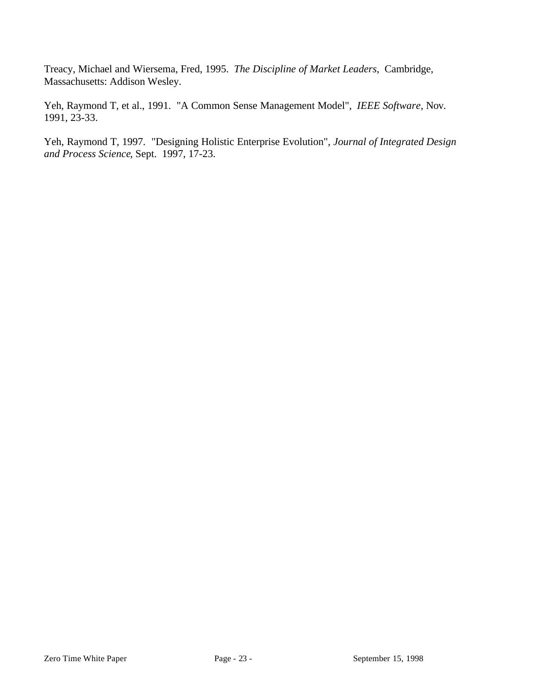Treacy, Michael and Wiersema, Fred, 1995. *The Discipline of Market Leaders*, Cambridge, Massachusetts: Addison Wesley.

Yeh, Raymond T, et al., 1991. "A Common Sense Management Model", *IEEE Software,* Nov. 1991, 23-33.

Yeh, Raymond T, 1997. "Designing Holistic Enterprise Evolution", *Journal of Integrated Design and Process Science*, Sept. 1997, 17-23.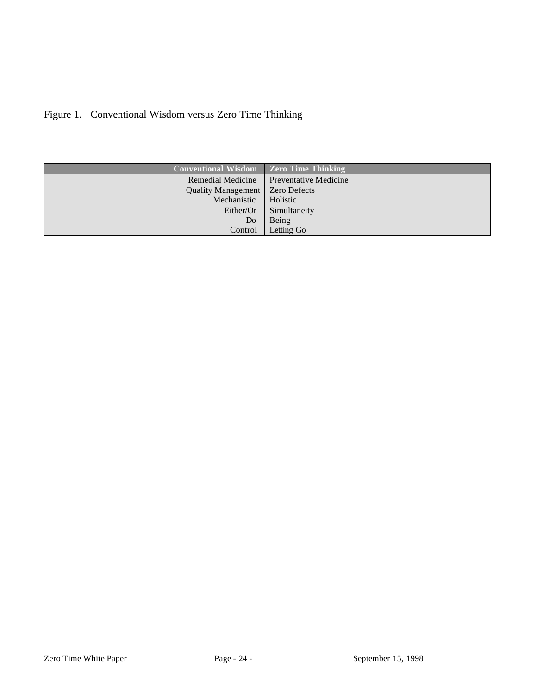| <b>Conventional Wisdom</b> | <b>Zero Time Thinking</b>    |
|----------------------------|------------------------------|
| Remedial Medicine          | <b>Preventative Medicine</b> |
| Quality Management         | <b>Zero Defects</b>          |
| Mechanistic                | Holistic                     |
| Either/Or                  | Simultaneity                 |
| Do                         | Being                        |
| Control                    | Letting Go                   |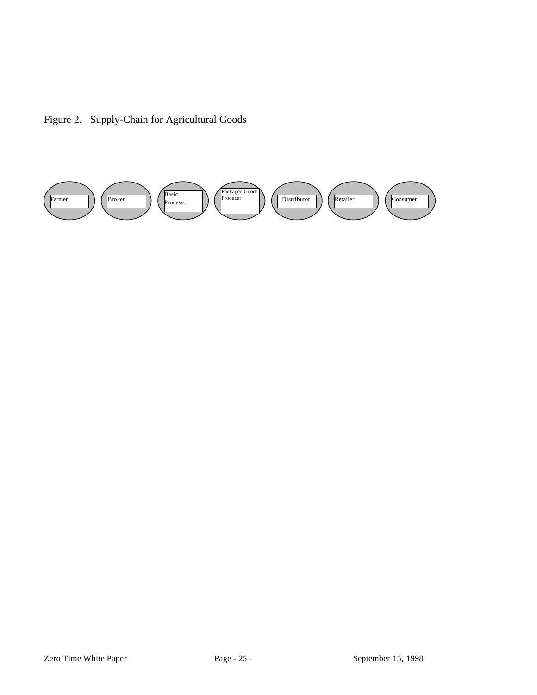Figure 2. Supply-Chain for Agricultural Goods

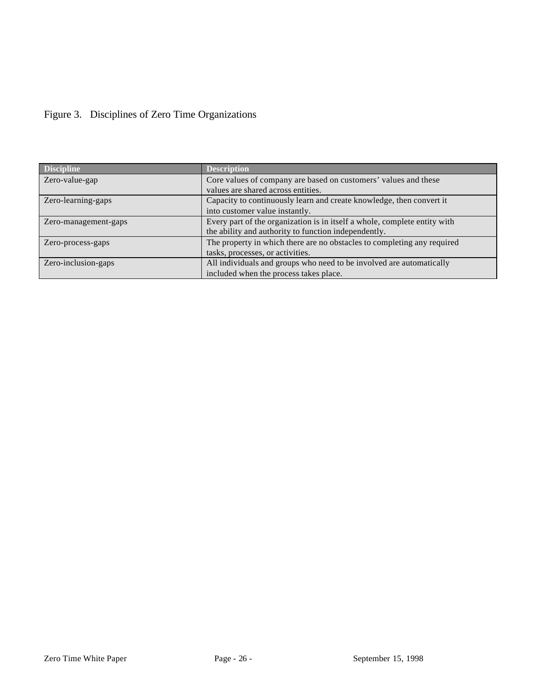| <b>Discipline</b>    | <b>Description</b>                                                        |
|----------------------|---------------------------------------------------------------------------|
| Zero-value-gap       | Core values of company are based on customers' values and these           |
|                      | values are shared across entities.                                        |
| Zero-learning-gaps   | Capacity to continuously learn and create knowledge, then convert it      |
|                      | into customer value instantly.                                            |
| Zero-management-gaps | Every part of the organization is in itself a whole, complete entity with |
|                      | the ability and authority to function independently.                      |
| Zero-process-gaps    | The property in which there are no obstacles to completing any required   |
|                      | tasks, processes, or activities.                                          |
| Zero-inclusion-gaps  | All individuals and groups who need to be involved are automatically      |
|                      | included when the process takes place.                                    |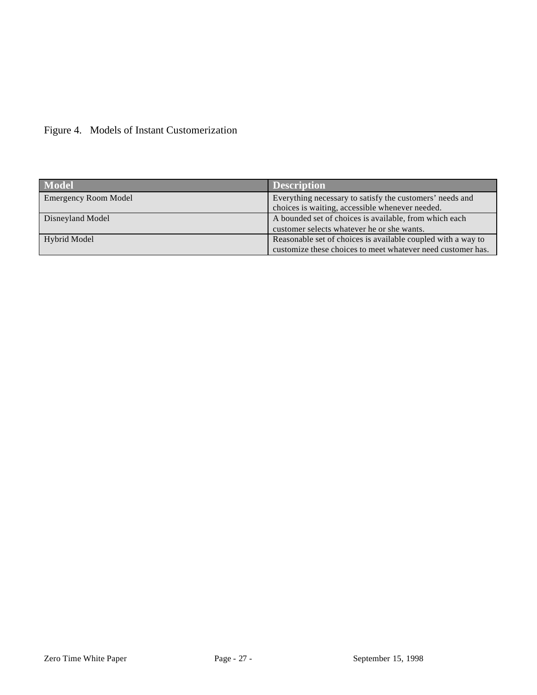| <b>Model</b>                | <b>Description</b>                                           |
|-----------------------------|--------------------------------------------------------------|
| <b>Emergency Room Model</b> | Everything necessary to satisfy the customers' needs and     |
|                             | choices is waiting, accessible whenever needed.              |
| Disneyland Model            | A bounded set of choices is available, from which each       |
|                             | customer selects whatever he or she wants.                   |
| Hybrid Model                | Reasonable set of choices is available coupled with a way to |
|                             | customize these choices to meet whatever need customer has.  |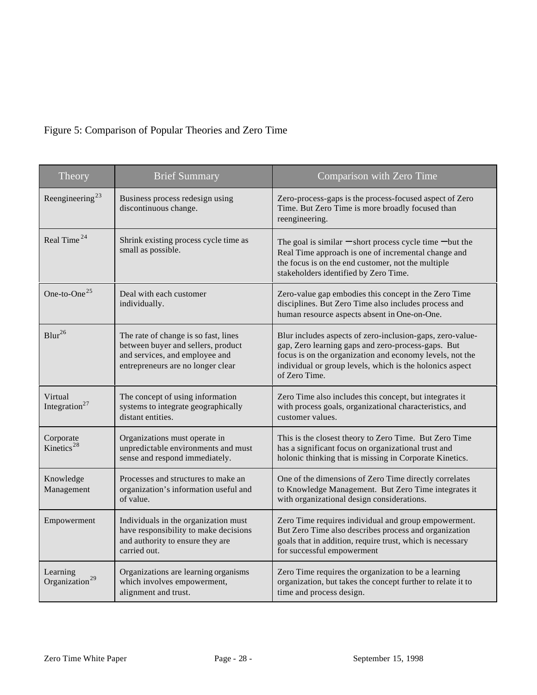# Figure 5: Comparison of Popular Theories and Zero Time

| Theory                                 | <b>Brief Summary</b>                                                                                                                              | Comparison with Zero Time                                                                                                                                                                                                                                |
|----------------------------------------|---------------------------------------------------------------------------------------------------------------------------------------------------|----------------------------------------------------------------------------------------------------------------------------------------------------------------------------------------------------------------------------------------------------------|
| Reengineering <sup>23</sup>            | Business process redesign using<br>discontinuous change.                                                                                          | Zero-process-gaps is the process-focused aspect of Zero<br>Time. But Zero Time is more broadly focused than<br>reengineering.                                                                                                                            |
| Real Time <sup>24</sup>                | Shrink existing process cycle time as<br>small as possible.                                                                                       | The goal is similar $-$ short process cycle time $-$ but the<br>Real Time approach is one of incremental change and<br>the focus is on the end customer, not the multiple<br>stakeholders identified by Zero Time.                                       |
| One-to-One $^{25}$                     | Deal with each customer<br>individually.                                                                                                          | Zero-value gap embodies this concept in the Zero Time<br>disciplines. But Zero Time also includes process and<br>human resource aspects absent in One-on-One.                                                                                            |
| $Blur^{26}$                            | The rate of change is so fast, lines<br>between buyer and sellers, product<br>and services, and employee and<br>entrepreneurs are no longer clear | Blur includes aspects of zero-inclusion-gaps, zero-value-<br>gap, Zero learning gaps and zero-process-gaps. But<br>focus is on the organization and economy levels, not the<br>individual or group levels, which is the holonics aspect<br>of Zero Time. |
| Virtual<br>Integration <sup>27</sup>   | The concept of using information<br>systems to integrate geographically<br>distant entities.                                                      | Zero Time also includes this concept, but integrates it<br>with process goals, organizational characteristics, and<br>customer values.                                                                                                                   |
| Corporate<br>Kinetics <sup>28</sup>    | Organizations must operate in<br>unpredictable environments and must<br>sense and respond immediately.                                            | This is the closest theory to Zero Time. But Zero Time<br>has a significant focus on organizational trust and<br>holonic thinking that is missing in Corporate Kinetics.                                                                                 |
| Knowledge<br>Management                | Processes and structures to make an<br>organization's information useful and<br>of value.                                                         | One of the dimensions of Zero Time directly correlates<br>to Knowledge Management. But Zero Time integrates it<br>with organizational design considerations.                                                                                             |
| Empowerment                            | Individuals in the organization must<br>have responsibility to make decisions<br>and authority to ensure they are<br>carried out.                 | Zero Time requires individual and group empowerment.<br>But Zero Time also describes process and organization<br>goals that in addition, require trust, which is necessary<br>for successful empowerment                                                 |
| Learning<br>Organization <sup>29</sup> | Organizations are learning organisms<br>which involves empowerment,<br>alignment and trust.                                                       | Zero Time requires the organization to be a learning<br>organization, but takes the concept further to relate it to<br>time and process design.                                                                                                          |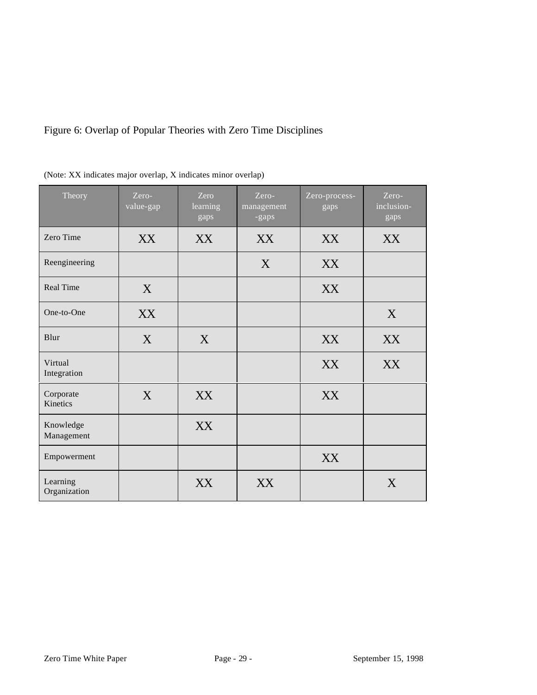# Figure 6: Overlap of Popular Theories with Zero Time Disciplines

| Theory                   | Zero-<br>value-gap | Zero<br>learning<br>gaps | Zero-<br>management<br>-gaps | Zero-process-<br>gaps | Zero-<br>inclusion-<br>gaps |
|--------------------------|--------------------|--------------------------|------------------------------|-----------------------|-----------------------------|
| Zero Time                | XX                 | XX                       | XX                           | XX                    | XX                          |
| Reengineering            |                    |                          | X                            | XX                    |                             |
| <b>Real Time</b>         | X                  |                          |                              | XX                    |                             |
| One-to-One               | XX                 |                          |                              |                       | X                           |
| Blur                     | X                  | X                        |                              | XX                    | XX                          |
| Virtual<br>Integration   |                    |                          |                              | XX                    | XX                          |
| Corporate<br>Kinetics    | X                  | XX                       |                              | XX                    |                             |
| Knowledge<br>Management  |                    | XX                       |                              |                       |                             |
| Empowerment              |                    |                          |                              | XX                    |                             |
| Learning<br>Organization |                    | XX                       | XX                           |                       | X                           |

|  | (Note: XX indicates major overlap, X indicates minor overlap) |  |  |  |
|--|---------------------------------------------------------------|--|--|--|
|  |                                                               |  |  |  |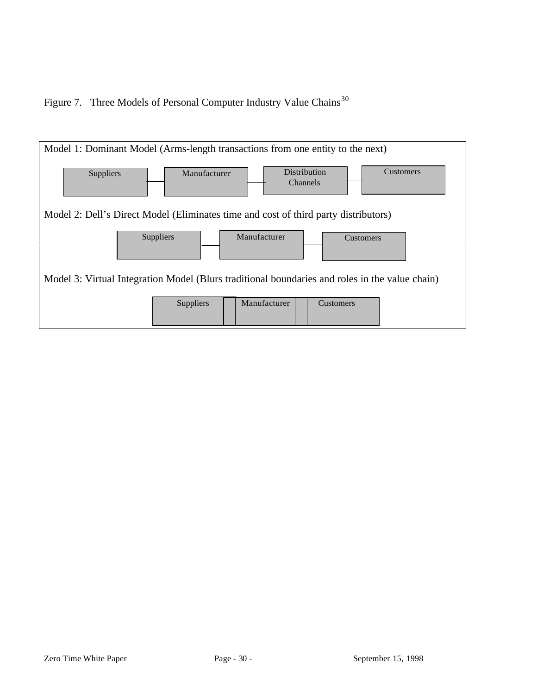Figure 7. Three Models of Personal Computer Industry Value Chains<sup>30</sup>

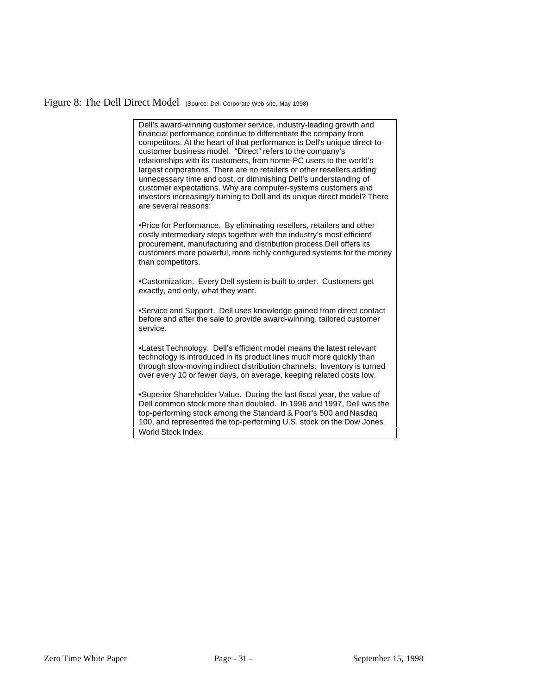#### Figure 8: The Dell Direct Model (Source: Dell Corporate Web site, May 1998)

Dell's award-winning customer service, industry-leading growth and financial performance continue to differentiate the company from competitors. At the heart of that performance is Dell's unique direct-tocustomer business model. "Direct" refers to the company's relationships with its customers, from home-PC users to the world's largest corporations. There are no retailers or other resellers adding unnecessary time and cost, or diminishing Dell's understanding of customer expectations. Why are computer-systems customers and investors increasingly turning to Dell and its unique direct model? There are several reasons:

•Price for Performance. By eliminating resellers, retailers and other costly intermediary steps together with the industry's most efficient procurement, manufacturing and distribution process Dell offers its customers more powerful, more richly configured systems for the money than competitors.

•Customization. Every Dell system is built to order. Customers get exactly, and only, what they want.

•Service and Support. Dell uses knowledge gained from direct contact before and after the sale to provide award-winning, tailored customer service.

•Latest Technology. Dell's efficient model means the latest relevant technology is introduced in its product lines much more quickly than through slow-moving indirect distribution channels. Inventory is turned over every 10 or fewer days, on average, keeping related costs low.

•Superior Shareholder Value. During the last fiscal year, the value of Dell common stock more than doubled. In 1996 and 1997, Dell was the top-performing stock among the Standard & Poor's 500 and Nasdaq 100, and represented the top-performing U.S. stock on the Dow Jones World Stock Index.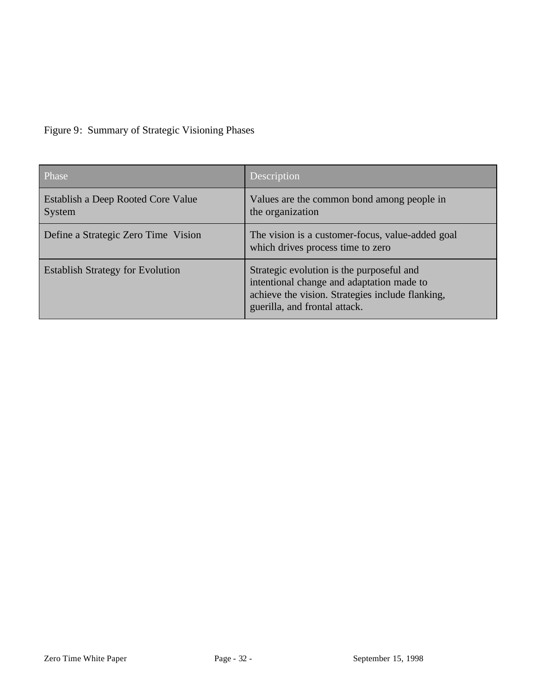|  | Figure 9: Summary of Strategic Visioning Phases |
|--|-------------------------------------------------|
|  |                                                 |

| Phase                                        | Description                                                                                                                                                                 |
|----------------------------------------------|-----------------------------------------------------------------------------------------------------------------------------------------------------------------------------|
| Establish a Deep Rooted Core Value<br>System | Values are the common bond among people in<br>the organization                                                                                                              |
| Define a Strategic Zero Time Vision          | The vision is a customer-focus, value-added goal<br>which drives process time to zero                                                                                       |
| <b>Establish Strategy for Evolution</b>      | Strategic evolution is the purposeful and<br>intentional change and adaptation made to<br>achieve the vision. Strategies include flanking,<br>guerilla, and frontal attack. |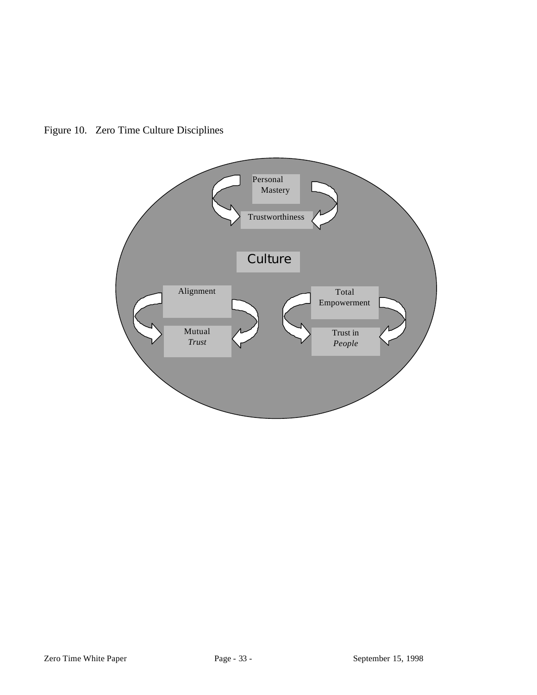

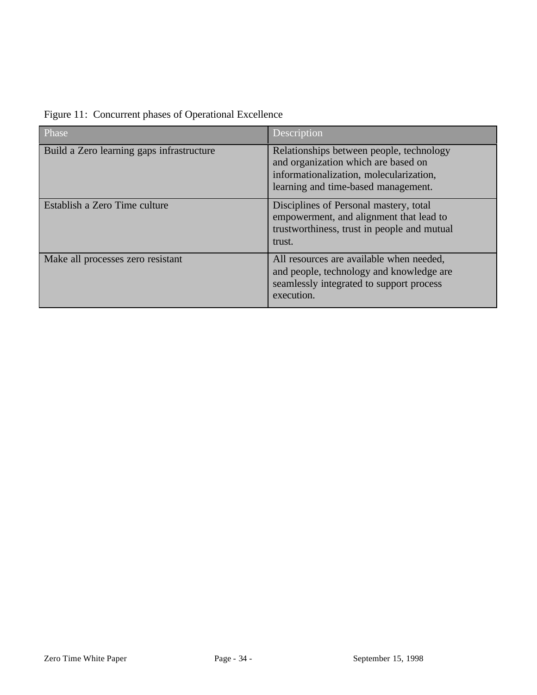| Phase                                     | Description                                                                                                                                                       |
|-------------------------------------------|-------------------------------------------------------------------------------------------------------------------------------------------------------------------|
| Build a Zero learning gaps infrastructure | Relationships between people, technology<br>and organization which are based on<br>informationalization, molecularization,<br>learning and time-based management. |
| Establish a Zero Time culture             | Disciplines of Personal mastery, total<br>empowerment, and alignment that lead to<br>trustworthiness, trust in people and mutual<br>trust.                        |
| Make all processes zero resistant         | All resources are available when needed,<br>and people, technology and knowledge are<br>seamlessly integrated to support process<br>execution.                    |

Figure 11: Concurrent phases of Operational Excellence